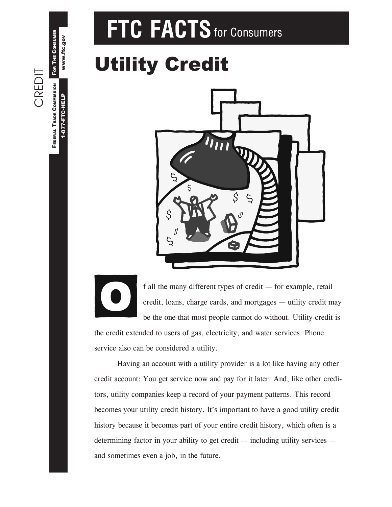# FTC FACTS for Consumers

## Utility Credit

CREDIT

1-877-FTC-HELP

O

www.ftc.gov

FEDERAL TRADE COMMISSION FOR THE CONSUMER

**FEDERAL TRADE COMMISSION** 1-877-FTC-HELP

FOR THE CONSUMER www.ftc.gov



f all the many different types of credit  $-$  for example, retail credit, loans, charge cards, and mortgages  $-$  utility credit may be the one that most people cannot do without. Utility credit is

the credit extended to users of gas, electricity, and water services. Phone service also can be considered a utility.

Having an account with a utility provider is a lot like having any other credit account: You get service now and pay for it later. And, like other creditors, utility companies keep a record of your payment patterns. This record becomes your utility credit history. It's important to have a good utility credit history because it becomes part of your entire credit history, which often is a determining factor in your ability to get credit  $-$  including utility services  $$ and sometimes even a job, in the future.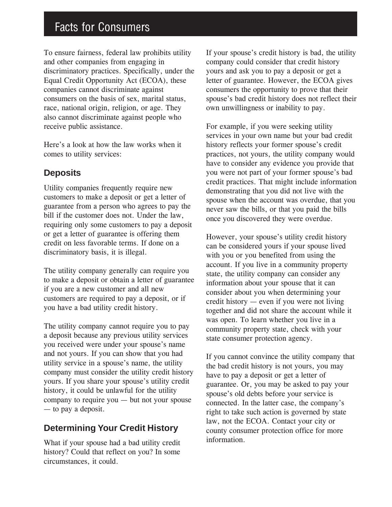### Facts for Consumers

To ensure fairness, federal law prohibits utility and other companies from engaging in discriminatory practices. Specifically, under the Equal Credit Opportunity Act (ECOA), these companies cannot discriminate against consumers on the basis of sex, marital status, race, national origin, religion, or age. They also cannot discriminate against people who receive public assistance.

Here's a look at how the law works when it comes to utility services:

#### **Deposits**

Utility companies frequently require new customers to make a deposit or get a letter of guarantee from a person who agrees to pay the bill if the customer does not. Under the law, requiring only some customers to pay a deposit or get a letter of guarantee is offering them credit on less favorable terms. If done on a discriminatory basis, it is illegal.

The utility company generally can require you to make a deposit or obtain a letter of guarantee if you are a new customer and all new customers are required to pay a deposit, or if you have a bad utility credit history.

The utility company cannot require you to pay a deposit because any previous utility services you received were under your spouse's name and not yours. If you can show that you had utility service in a spouse's name, the utility company must consider the utility credit history yours. If you share your spouse's utility credit history, it could be unlawful for the utility company to require you  $-$  but not your spouse  $-$  to pay a deposit.

#### **Determining Your Credit History**

What if your spouse had a bad utility credit history? Could that reflect on you? In some circumstances, it could.

If your spouse's credit history is bad, the utility company could consider that credit history yours and ask you to pay a deposit or get a letter of guarantee. However, the ECOA gives consumers the opportunity to prove that their spouse's bad credit history does not reflect their own unwillingness or inability to pay.

For example, if you were seeking utility services in your own name but your bad credit history reflects your former spouse's credit practices, not yours, the utility company would have to consider any evidence you provide that you were not part of your former spouse's bad credit practices. That might include information demonstrating that you did not live with the spouse when the account was overdue, that you never saw the bills, or that you paid the bills once you discovered they were overdue.

However, your spouse's utility credit history can be considered yours if your spouse lived with you or you benefited from using the account. If you live in a community property state, the utility company can consider any information about your spouse that it can consider about you when determining your credit history  $-$  even if you were not living together and did not share the account while it was open. To learn whether you live in a community property state, check with your state consumer protection agency.

If you cannot convince the utility company that the bad credit history is not yours, you may have to pay a deposit or get a letter of guarantee. Or, you may be asked to pay your spouse's old debts before your service is connected. In the latter case, the company's right to take such action is governed by state law, not the ECOA. Contact your city or county consumer protection office for more information.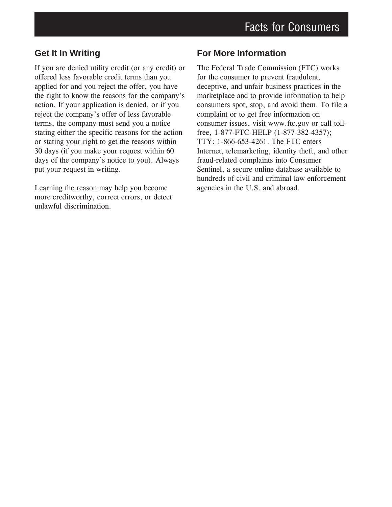#### **Get It In Writing**

If you are denied utility credit (or any credit) or offered less favorable credit terms than you applied for and you reject the offer, you have the right to know the reasons for the company's action. If your application is denied, or if you reject the company's offer of less favorable terms, the company must send you a notice stating either the specific reasons for the action or stating your right to get the reasons within 30 days (if you make your request within 60 days of the company's notice to you). Always put your request in writing.

Learning the reason may help you become more creditworthy, correct errors, or detect unlawful discrimination.

#### **For More Information**

The Federal Trade Commission (FTC) works for the consumer to prevent fraudulent, deceptive, and unfair business practices in the marketplace and to provide information to help consumers spot, stop, and avoid them. To file a complaint or to get free information on consumer issues, visit www.ftc.gov or call tollfree, 1-877-FTC-HELP (1-877-382-4357); TTY: 1-866-653-4261. The FTC enters Internet, telemarketing, identity theft, and other fraud-related complaints into Consumer Sentinel, a secure online database available to hundreds of civil and criminal law enforcement agencies in the U.S. and abroad.